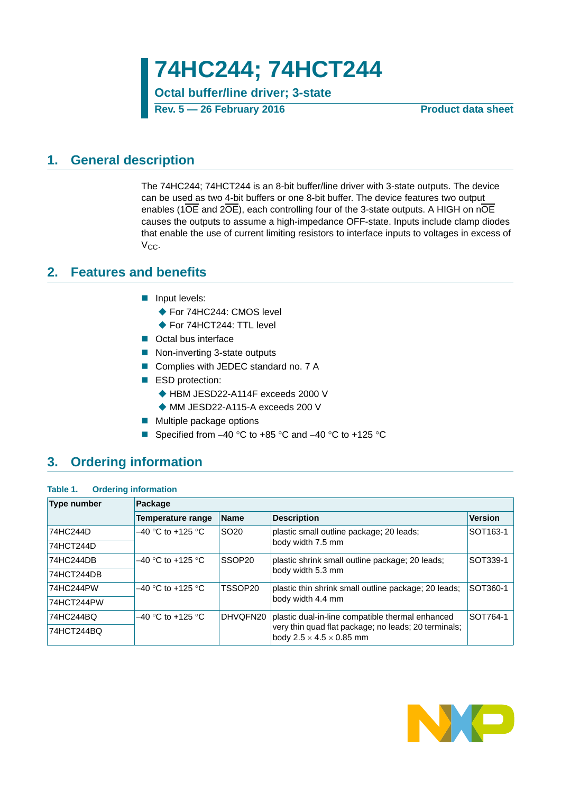**74HC244; 74HCT244**

**Octal buffer/line driver; 3-state Rev. 5** — 26 February 2016

## <span id="page-0-0"></span>**1. General description**

The 74HC244; 74HCT244 is an 8-bit buffer/line driver with 3-state outputs. The device can be used as two 4-bit buffers or one 8-bit buffer. The device features two output enables (1OE and 2OE), each controlling four of the 3-state outputs. A HIGH on nOE causes the outputs to assume a high-impedance OFF-state. Inputs include clamp diodes that enable the use of current limiting resistors to interface inputs to voltages in excess of  $V_{CC}$ .

## <span id="page-0-1"></span>**2. Features and benefits**

- **Input levels:** 
	- ◆ For 74HC244: CMOS level
	- ◆ For 74HCT244: TTL level
- Octal bus interface
- Non-inverting 3-state outputs
- Complies with JEDEC standard no. 7 A
- ESD protection:
	- ◆ HBM JESD22-A114F exceeds 2000 V
		- ◆ MM JESD22-A115-A exceeds 200 V
- **Multiple package options**
- Specified from  $-40$  °C to  $+85$  °C and  $-40$  °C to  $+125$  °C

## <span id="page-0-2"></span>**3. Ordering information**

| Table 1. |  | <b>Ordering information</b> |
|----------|--|-----------------------------|
|----------|--|-----------------------------|

| Type number | Package             |                    |                                                                                              |                |  |  |  |  |  |
|-------------|---------------------|--------------------|----------------------------------------------------------------------------------------------|----------------|--|--|--|--|--|
|             | Temperature range   | Name               | <b>Description</b>                                                                           | <b>Version</b> |  |  |  |  |  |
| 74HC244D    | $-40$ °C to +125 °C | SO <sub>20</sub>   | plastic small outline package; 20 leads;                                                     | SOT163-1       |  |  |  |  |  |
| 74HCT244D   |                     |                    | body width 7.5 mm                                                                            |                |  |  |  |  |  |
| 74HC244DB   | $-40$ °C to +125 °C | SSOP <sub>20</sub> | plastic shrink small outline package; 20 leads;                                              | SOT339-1       |  |  |  |  |  |
| 74HCT244DB  |                     |                    | body width 5.3 mm                                                                            |                |  |  |  |  |  |
| 74HC244PW   | $-40$ °C to +125 °C | TSSOP20            | plastic thin shrink small outline package; 20 leads;                                         | SOT360-1       |  |  |  |  |  |
| 74HCT244PW  |                     |                    | body width 4.4 mm                                                                            |                |  |  |  |  |  |
| 74HC244BQ   | $-40$ °C to +125 °C | DHVOFN20           | plastic dual-in-line compatible thermal enhanced                                             | SOT764-1       |  |  |  |  |  |
| 74HCT244BQ  |                     |                    | very thin quad flat package; no leads; 20 terminals;<br>body $2.5 \times 4.5 \times 0.85$ mm |                |  |  |  |  |  |

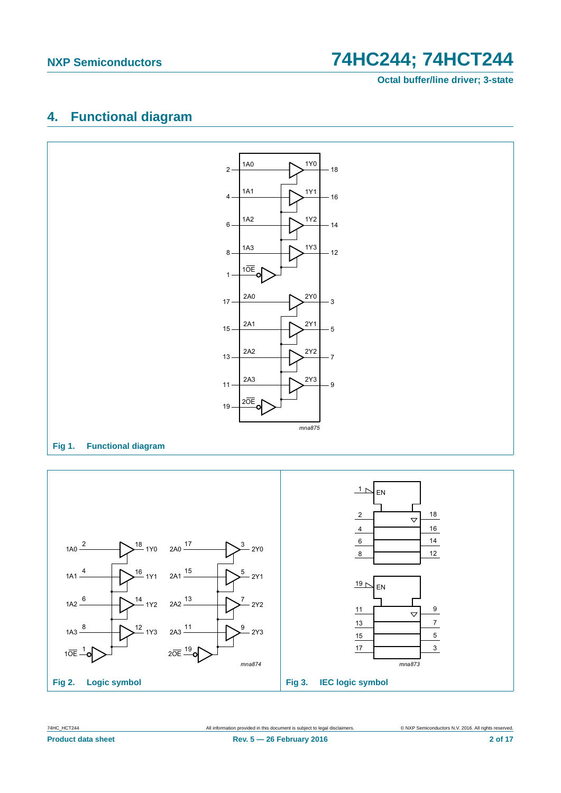**Octal buffer/line driver; 3-state**

# <span id="page-1-0"></span>**4. Functional diagram**



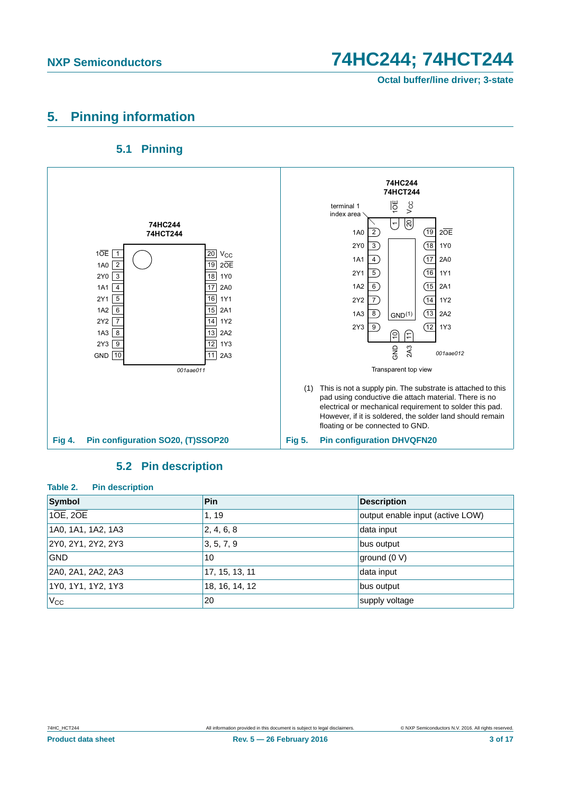# <span id="page-2-0"></span>**5. Pinning information**

## **5.1 Pinning**

<span id="page-2-1"></span>

### **5.2 Pin description**

<span id="page-2-2"></span>

| Table 2.<br><b>Pin description</b> |                |                                  |  |  |  |  |  |  |
|------------------------------------|----------------|----------------------------------|--|--|--|--|--|--|
| Symbol                             | <b>Pin</b>     | <b>Description</b>               |  |  |  |  |  |  |
| 10E, 20E                           | 1, 19          | output enable input (active LOW) |  |  |  |  |  |  |
| 1A0, 1A1, 1A2, 1A3                 | 2, 4, 6, 8     | data input                       |  |  |  |  |  |  |
| 2Y0, 2Y1, 2Y2, 2Y3                 | 3, 5, 7, 9     | bus output                       |  |  |  |  |  |  |
| <b>GND</b>                         | 10             | $q$ round (0 V)                  |  |  |  |  |  |  |
| 2A0, 2A1, 2A2, 2A3                 | 17, 15, 13, 11 | data input                       |  |  |  |  |  |  |
| 1Y0, 1Y1, 1Y2, 1Y3                 | 18, 16, 14, 12 | bus output                       |  |  |  |  |  |  |
| $V_{\rm CC}$                       | 20             | supply voltage                   |  |  |  |  |  |  |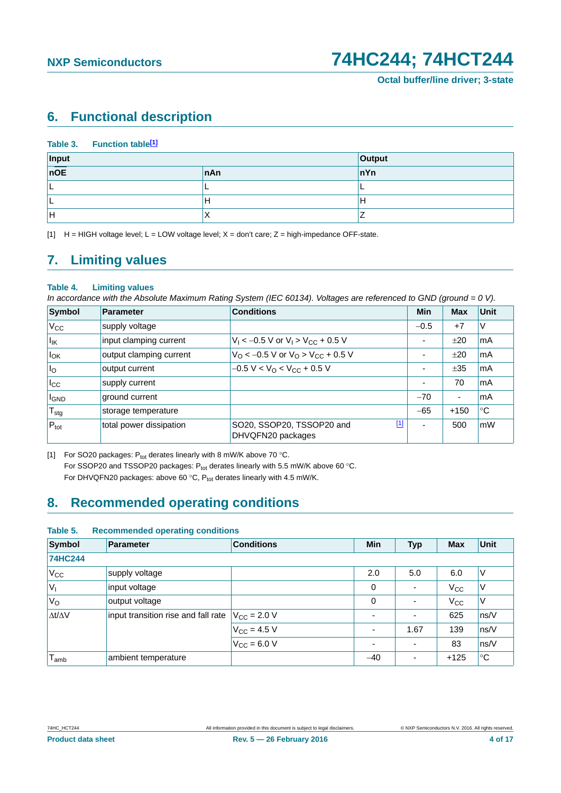# <span id="page-3-2"></span>**6. Functional description**

|              | Table 3. Function table <sup>[1]</sup> |     |        |
|--------------|----------------------------------------|-----|--------|
| Input<br>nOE |                                        |     | Output |
|              |                                        | nAn | nYn    |
|              |                                        |     |        |
| ╺            |                                        | Н   | lН     |
| lн           |                                        | ↗   |        |

<span id="page-3-0"></span>[1]  $H = HIGH$  voltage level; L = LOW voltage level; X = don't care; Z = high-impedance OFF-state.

# <span id="page-3-3"></span>**7. Limiting values**

### **Table 4. Limiting values**

*In accordance with the Absolute Maximum Rating System (IEC 60134). Voltages are referenced to GND (ground = 0 V).*

| Symbol            | Parameter               | <b>Conditions</b>                                          | Min                      | Max                      | <b>Unit</b> |
|-------------------|-------------------------|------------------------------------------------------------|--------------------------|--------------------------|-------------|
| $V_{\rm CC}$      | supply voltage          |                                                            | $-0.5$                   | $+7$                     | V           |
| $I_{\mathsf{IK}}$ | input clamping current  | $V_1$ < -0.5 V or $V_1$ > $V_{CC}$ + 0.5 V                 | ۰                        | ±20                      | mA          |
| ιl <sub>ΟΚ</sub>  | output clamping current | $V_{\rm O}$ < -0.5 V or $V_{\rm O}$ > $V_{\rm CC}$ + 0.5 V | $\blacksquare$           | ±20                      | mA          |
| I <sub>o</sub>    | output current          | $-0.5 V < VO < VCC + 0.5 V$                                | ۰                        | ±35                      | mA          |
| $I_{\rm CC}$      | supply current          |                                                            | ۰                        | 70                       | mA          |
| <b>I</b> GND      | ground current          |                                                            | $-70$                    | $\overline{\phantom{a}}$ | mA          |
| $T_{\text{stg}}$  | storage temperature     |                                                            | $-65$                    | $+150$                   | °C          |
| $P_{\text{tot}}$  | total power dissipation | $[1]$<br>SO20, SSOP20, TSSOP20 and<br>DHVQFN20 packages    | $\overline{\phantom{0}}$ | 500                      | mW          |

<span id="page-3-1"></span>[1] For SO20 packages:  $P_{tot}$  derates linearly with 8 mW/K above 70 °C. For SSOP20 and TSSOP20 packages:  $P_{tot}$  derates linearly with 5.5 mW/K above 60 °C. For DHVQFN20 packages: above 60 °C,  $P_{tot}$  derates linearly with 4.5 mW/K.

# <span id="page-3-4"></span>**8. Recommended operating conditions**

| <b>Symbol</b>       | <b>Parameter</b>                    | <b>Conditions</b>       | Min                      | <b>Typ</b>               | <b>Max</b>   | Unit           |
|---------------------|-------------------------------------|-------------------------|--------------------------|--------------------------|--------------|----------------|
| <b>74HC244</b>      |                                     |                         |                          |                          |              |                |
| $V_{\rm CC}$        | supply voltage                      |                         | 2.0                      | 5.0                      | 6.0          | ٧              |
| $V_1$               | input voltage                       |                         | 0                        |                          | $V_{\rm CC}$ | ٧              |
| $V_{\rm O}$         | output voltage                      |                         | 0                        |                          | $V_{\rm CC}$ | ٧              |
| $\Delta t/\Delta V$ | input transition rise and fall rate | $V_{\text{CC}}$ = 2.0 V | $\overline{\phantom{0}}$ | $\overline{\phantom{0}}$ | 625          | ns/V           |
|                     |                                     | $V_{\rm CC} = 4.5 V$    | $\overline{\phantom{0}}$ | 1.67                     | 139          | ns/V           |
|                     |                                     | $V_{CC}$ = 6.0 V        | $\overline{\phantom{0}}$ | $\overline{\phantom{0}}$ | 83           | $\sqrt{}$ ns/V |
| $I_{amb}$           | ambient temperature                 |                         | $-40$                    | $\overline{\phantom{0}}$ | $+125$       | $^{\circ}C$    |

### **Table 5. Recommended operating conditions**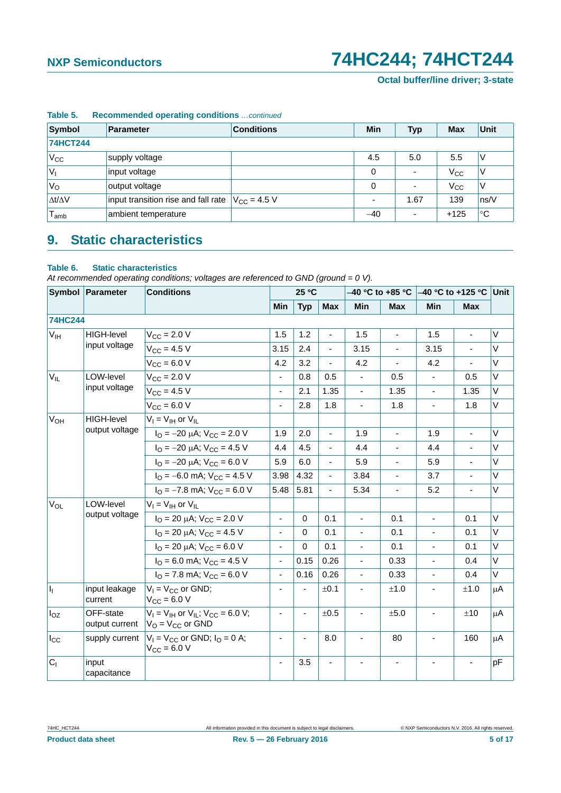| Symbol              | <b>Parameter</b>                                      | Min | <b>Typ</b>               | <b>Max</b>               | Unit         |             |  |  |  |  |  |
|---------------------|-------------------------------------------------------|-----|--------------------------|--------------------------|--------------|-------------|--|--|--|--|--|
| <b>74HCT244</b>     |                                                       |     |                          |                          |              |             |  |  |  |  |  |
| $V_{CC}$            | supply voltage                                        |     | 4.5                      | 5.0                      | 5.5          | V           |  |  |  |  |  |
| $ V_1$              | input voltage                                         |     | 0                        | $\overline{\phantom{0}}$ | $V_{\rm CC}$ | ٧           |  |  |  |  |  |
| $V_{\rm O}$         | output voltage                                        |     | 0                        | $\overline{\phantom{0}}$ | $V_{\rm CC}$ | V           |  |  |  |  |  |
| $\Delta t/\Delta V$ | input transition rise and fall rate $ V_{CC} = 4.5 V$ |     | $\overline{\phantom{0}}$ | 1.67                     | 139          | ns/V        |  |  |  |  |  |
| ${\sf T}_{\sf amb}$ | ambient temperature                                   |     | $-40$                    | ۰                        | $+125$       | $^{\circ}C$ |  |  |  |  |  |

### **Table 5. Recommended operating conditions** *…continued*

# <span id="page-4-0"></span>**9. Static characteristics**

### **Table 6. Static characteristics**

*At recommended operating conditions; voltages are referenced to GND (ground = 0 V).*

|                       | Symbol Parameter            | <b>Conditions</b>                                                                       |                          | 25 °C       |                          |                          | –40 °C to +85 °C $\parallel$ | $-40$ °C to +125 °C Unit |                |        |
|-----------------------|-----------------------------|-----------------------------------------------------------------------------------------|--------------------------|-------------|--------------------------|--------------------------|------------------------------|--------------------------|----------------|--------|
|                       |                             |                                                                                         | Min                      | <b>Typ</b>  | <b>Max</b>               | <b>Min</b>               | <b>Max</b>                   | <b>Min</b>               | <b>Max</b>     |        |
| <b>74HC244</b>        |                             |                                                                                         |                          |             |                          |                          |                              |                          |                |        |
| V <sub>IH</sub>       | <b>HIGH-level</b>           | $V_{CC} = 2.0 V$                                                                        | 1.5                      | 1.2         | $\overline{\phantom{a}}$ | 1.5                      | ÷,                           | 1.5                      | ÷,             | $\vee$ |
|                       | input voltage               | $V_{CC} = 4.5 V$                                                                        | 3.15                     | 2.4         |                          | 3.15                     |                              | 3.15                     |                | V      |
|                       |                             | $V_{CC} = 6.0 V$                                                                        | 4.2                      | 3.2         | $\overline{a}$           | 4.2                      | L.                           | 4.2                      | $\blacksquare$ | V      |
| $V_{IL}$              | LOW-level                   | $V_{\rm CC} = 2.0 V$                                                                    | $\blacksquare$           | 0.8         | 0.5                      | ÷,                       | 0.5                          | $\overline{\phantom{a}}$ | 0.5            | V      |
|                       | input voltage               | $V_{CC} = 4.5 V$                                                                        | $\frac{1}{2}$            | 2.1         | 1.35                     | $\blacksquare$           | 1.35                         | $\overline{\phantom{a}}$ | 1.35           | V      |
|                       |                             | $V_{CC}$ = 6.0 V                                                                        |                          | 2.8         | 1.8                      | ÷,                       | 1.8                          |                          | 1.8            | V      |
| V <sub>OH</sub>       | <b>HIGH-level</b>           | $V_I = V_{IH}$ or $V_{IL}$                                                              |                          |             |                          |                          |                              |                          |                |        |
|                       | output voltage              | $I_{\text{O}} = -20 \mu\text{A}$ ; $V_{\text{CC}} = 2.0 \text{ V}$                      | 1.9                      | 2.0         | $\blacksquare$           | 1.9                      | ÷,                           | 1.9                      | $\blacksquare$ | V      |
|                       |                             | $I_{\Omega}$ = -20 µA; $V_{\text{CC}}$ = 4.5 V                                          | 4.4                      | 4.5         |                          | 4.4                      |                              | 4.4                      |                | $\vee$ |
|                       |                             | $I_{\Omega} = -20 \mu A$ ; $V_{\text{CC}} = 6.0 \text{ V}$                              | 5.9                      | 6.0         | ä,                       | 5.9                      | ٠                            | 5.9                      | $\blacksquare$ | $\vee$ |
|                       |                             | $I_{\Omega}$ = -6.0 mA; $V_{\text{CC}}$ = 4.5 V                                         | 3.98                     | 4.32        | $\overline{\phantom{a}}$ | 3.84                     | -                            | 3.7                      |                | V      |
|                       |                             | $IO = -7.8$ mA; $VCC = 6.0$ V                                                           | 5.48                     | 5.81        | L.                       | 5.34                     |                              | 5.2                      |                | V      |
| <b>V<sub>OL</sub></b> | LOW-level                   | $V_I = V_{IH}$ or $V_{IL}$                                                              |                          |             |                          |                          |                              |                          |                |        |
|                       | output voltage              | $I_{\Omega}$ = 20 µA; $V_{CC}$ = 2.0 V                                                  | $\blacksquare$           | $\mathbf 0$ | 0.1                      | $\blacksquare$           | 0.1                          | $\blacksquare$           | 0.1            | V      |
|                       |                             | $I_{\Omega}$ = 20 µA; $V_{\text{CC}}$ = 4.5 V                                           |                          | $\Omega$    | 0.1                      |                          | 0.1                          |                          | 0.1            | V      |
|                       |                             | $I_{\Omega}$ = 20 µA; $V_{\text{CC}}$ = 6.0 V                                           | $\overline{\phantom{a}}$ | $\Omega$    | 0.1                      | $\blacksquare$           | 0.1                          |                          | 0.1            | V      |
|                       |                             | $I_{\Omega}$ = 6.0 mA; $V_{\text{CC}}$ = 4.5 V                                          | $\blacksquare$           | 0.15        | 0.26                     | $\blacksquare$           | 0.33                         | $\overline{\phantom{a}}$ | 0.4            | V      |
|                       |                             | $IO$ = 7.8 mA; $VCC$ = 6.0 V                                                            | $\overline{\phantom{0}}$ | 0.16        | 0.26                     | ä,                       | 0.33                         |                          | 0.4            | V      |
| h,                    | input leakage<br>current    | $V_1 = V_{CC}$ or GND;<br>$V_{CC}$ = 6.0 V                                              |                          |             | ±0.1                     | $\blacksquare$           | ±1.0                         |                          | ±1.0           | μA     |
| $I_{OZ}$              | OFF-state<br>output current | $V_I = V_{IH}$ or $V_{IL}$ ; $V_{CC} = 6.0$ V;<br>$V_{\text{O}} = V_{\text{CC}}$ or GND | $\blacksquare$           | ä,          | ±0.5                     | $\overline{\phantom{a}}$ | ±5.0                         |                          | ±10            | μA     |
| $I_{\rm CC}$          | supply current              | $V_1 = V_{CC}$ or GND; $I_Q = 0$ A;<br>$V_{CC} = 6.0 V$                                 |                          |             | 8.0                      | ä,                       | 80                           |                          | 160            | μA     |
| C <sub>1</sub>        | input<br>capacitance        |                                                                                         | $\overline{\phantom{a}}$ | 3.5         |                          |                          |                              |                          |                | pF     |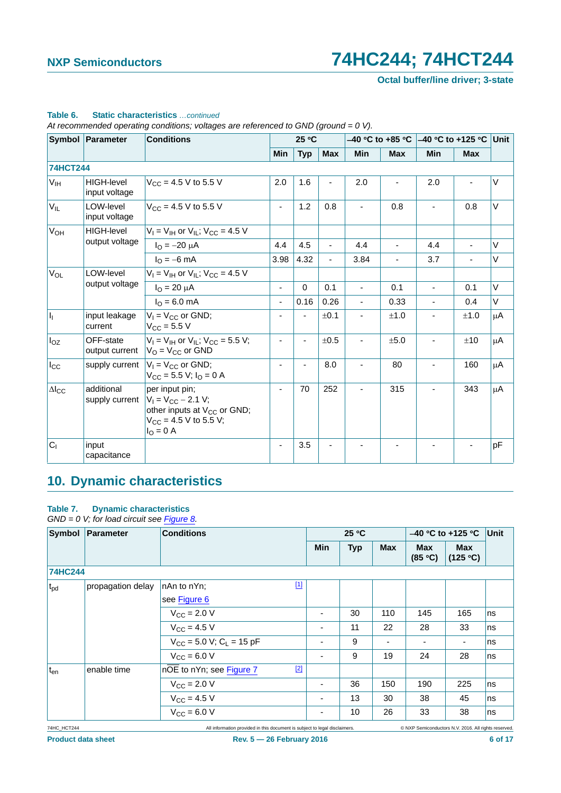**Octal buffer/line driver; 3-state**

|                        | Symbol Parameter<br>25 °C<br><b>Conditions</b> |                                                                                                                                          |                |            | –40 °C to +85 °C | $-40$ °C to +125 °C      |            | Unit       |            |        |
|------------------------|------------------------------------------------|------------------------------------------------------------------------------------------------------------------------------------------|----------------|------------|------------------|--------------------------|------------|------------|------------|--------|
|                        |                                                |                                                                                                                                          | Min            | <b>Typ</b> | <b>Max</b>       | <b>Min</b>               | <b>Max</b> | <b>Min</b> | <b>Max</b> |        |
| <b>74HCT244</b>        |                                                |                                                                                                                                          |                |            |                  |                          |            |            |            |        |
| V <sub>IH</sub>        | <b>HIGH-level</b><br>input voltage             | $V_{CC}$ = 4.5 V to 5.5 V                                                                                                                | 2.0            | 1.6        |                  | 2.0                      |            | 2.0        |            | V      |
| $V_{IL}$               | LOW-level<br>input voltage                     | $V_{CC}$ = 4.5 V to 5.5 V                                                                                                                | ٠              | 1.2        | 0.8              |                          | 0.8        |            | 0.8        | $\vee$ |
| V <sub>OH</sub>        | <b>HIGH-level</b>                              | $V_1 = V_{1H}$ or $V_{1L}$ ; $V_{CC} = 4.5$ V                                                                                            |                |            |                  |                          |            |            |            |        |
|                        | output voltage                                 | $I_{\Omega} = -20 \mu A$                                                                                                                 | 4.4            | 4.5        | $\blacksquare$   | 4.4                      |            | 4.4        |            | V      |
|                        |                                                | $I_{\Omega} = -6$ mA                                                                                                                     | 3.98           | 4.32       | $\blacksquare$   | 3.84                     |            | 3.7        | -          | V      |
| <b>V<sub>OL</sub></b>  | LOW-level<br>output voltage                    | $V_1 = V_{1H}$ or $V_{1I}$ ; $V_{CC} = 4.5$ V                                                                                            |                |            |                  |                          |            |            |            |        |
|                        |                                                | $I_{\rm O} = 20 \mu A$                                                                                                                   | $\blacksquare$ | $\Omega$   | 0.1              | $\blacksquare$           | 0.1        | ٠          | 0.1        | V      |
|                        |                                                | $I_{\Omega} = 6.0$ mA                                                                                                                    | ٠              | 0.16       | 0.26             |                          | 0.33       |            | 0.4        | V      |
| h                      | input leakage<br>current                       | $V_1 = V_{CC}$ or GND;<br>$V_{\text{CC}} = 5.5 V$                                                                                        |                |            | ±0.1             |                          | ±1.0       |            | ±1.0       | μA     |
| $I_{OZ}$               | OFF-state<br>output current                    | $V_1 = V_{1H}$ or $V_{1I}$ ; $V_{CC} = 5.5$ V;<br>$V_{\rm O}$ = $V_{\rm CC}$ or GND                                                      |                |            | ±0.5             | $\overline{\phantom{m}}$ | ±5.0       |            | ±10        | μA     |
| $I_{\rm CC}$           | supply current                                 | $V_1 = V_{CC}$ or GND;<br>$V_{CC}$ = 5.5 V; $I_{O}$ = 0 A                                                                                |                |            | 8.0              | $\blacksquare$           | 80         |            | 160        | μA     |
| $\Delta$ <sub>cc</sub> | additional<br>supply current                   | per input pin;<br>$V_1 = V_{CC} - 2.1 V;$<br>other inputs at V <sub>CC</sub> or GND;<br>$V_{CC}$ = 4.5 V to 5.5 V;<br>$I_{\Omega} = 0$ A |                | 70         | 252              |                          | 315        |            | 343        | μA     |
| $C_1$                  | input<br>capacitance                           |                                                                                                                                          |                | 3.5        |                  |                          |            |            |            | pF     |

## **Table 6. Static characteristics** *…continued*

*At recommended operating conditions; voltages are referenced to GND (ground = 0 V).*

# <span id="page-5-0"></span>**10. Dynamic characteristics**

### **Table 7. Dynamic characteristics**

*GND = 0 V; for load circuit see [Figure 8](#page-8-0).*

| Symbol          | Parameter         | <b>Conditions</b>                        | 25 °C      |            |                | $-40$ °C to +125 °C   | Unit            |    |
|-----------------|-------------------|------------------------------------------|------------|------------|----------------|-----------------------|-----------------|----|
|                 |                   |                                          | <b>Min</b> | <b>Typ</b> | <b>Max</b>     | <b>Max</b><br>(85 °C) | Max<br>(125 °C) |    |
| <b>74HC244</b>  |                   |                                          |            |            |                |                       |                 |    |
| $t_{\rm pd}$    | propagation delay | $\boxed{1}$<br>nAn to nYn;               |            |            |                |                       |                 |    |
|                 |                   | see Figure 6                             |            |            |                |                       |                 |    |
|                 |                   | $V_{\text{CC}} = 2.0 V$                  |            | 30         | 110            | 145                   | 165             | ns |
|                 |                   | $V_{CC} = 4.5 V$                         |            | 11         | 22             | 28                    | 33              | ns |
|                 |                   | $V_{CC}$ = 5.0 V; C <sub>L</sub> = 15 pF |            | 9          | $\blacksquare$ | ٠                     | ۰               | ns |
|                 |                   | $V_{CC} = 6.0 V$                         |            | 9          | 19             | 24                    | 28              | ns |
| t <sub>en</sub> | enable time       | $[2]$<br>nOE to nYn; see Figure 7        |            |            |                |                       |                 |    |
|                 |                   | $V_{\text{CC}} = 2.0 V$                  |            | 36         | 150            | 190                   | 225             | ns |
|                 |                   | $V_{\text{CC}} = 4.5 V$                  |            | 13         | 30             | 38                    | 45              | ns |
|                 |                   | $V_{CC}$ = 6.0 V                         |            | 10         | 26             | 33                    | 38              | ns |

74HC\_HCT244 All information provided in this document is subject to legal disclaimers. © NXP Semiconductors N.V. 2016. All rights reserved.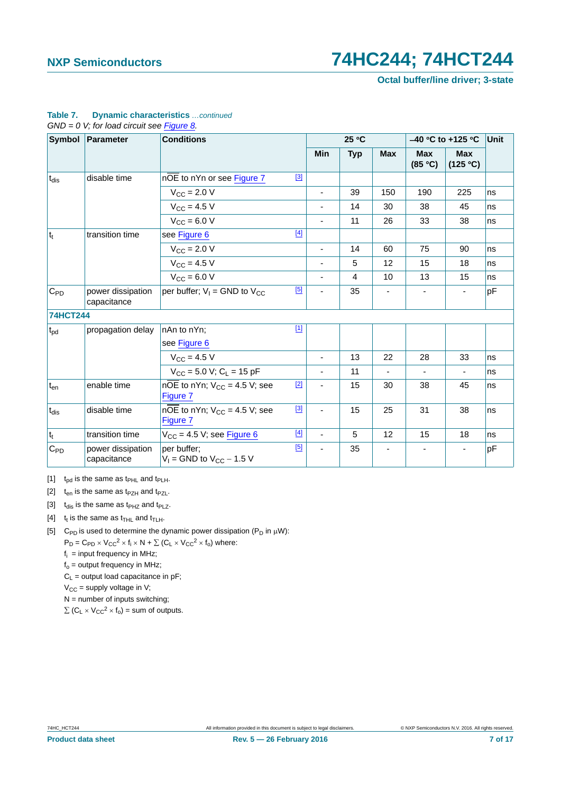**Octal buffer/line driver; 3-state**

| Symbol          | Parameter                        | <b>Conditions</b>                                          |       | 25 °C                    |            |            | $-40$ °C to +125 °C   |                          |    |
|-----------------|----------------------------------|------------------------------------------------------------|-------|--------------------------|------------|------------|-----------------------|--------------------------|----|
|                 |                                  |                                                            |       | <b>Min</b>               | <b>Typ</b> | <b>Max</b> | <b>Max</b><br>(85 °C) | <b>Max</b><br>(125 °C)   |    |
| $t_{dis}$       | disable time                     | nOE to nYn or see Figure 7                                 | [3]   |                          |            |            |                       |                          |    |
|                 |                                  | $V_{\text{CC}} = 2.0 V$                                    |       | $\blacksquare$           | 39         | 150        | 190                   | 225                      | ns |
|                 |                                  | $V_{CC}$ = 4.5 V                                           |       |                          | 14         | 30         | 38                    | 45                       | ns |
|                 |                                  | $V_{CC} = 6.0 V$                                           |       | $\overline{\phantom{a}}$ | 11         | 26         | 33                    | 38                       | ns |
| $ t_t $         | transition time                  | see Figure 6                                               | $[4]$ |                          |            |            |                       |                          |    |
|                 |                                  | $V_{\text{CC}} = 2.0 V$                                    |       | $\overline{\phantom{a}}$ | 14         | 60         | 75                    | 90                       | ns |
|                 |                                  | $V_{CC} = 4.5 V$                                           |       | ä,                       | 5          | 12         | 15                    | 18                       | ns |
|                 |                                  | $V_{\text{CC}} = 6.0 V$                                    |       |                          | 4          | 10         | 13                    | 15                       | ns |
| $C_{PD}$        | power dissipation<br>capacitance | per buffer; $V_1 =$ GND to $V_{CC}$                        | [5]   |                          | 35         |            |                       |                          | pF |
| <b>74HCT244</b> |                                  |                                                            |       |                          |            |            |                       |                          |    |
| $t_{\rm pd}$    | propagation delay                | nAn to nYn;                                                | $[1]$ |                          |            |            |                       |                          |    |
|                 |                                  | see Figure 6                                               |       |                          |            |            |                       |                          |    |
|                 |                                  | $V_{\text{CC}} = 4.5 V$                                    |       | $\blacksquare$           | 13         | 22         | 28                    | 33                       | ns |
|                 |                                  | $V_{CC}$ = 5.0 V; C <sub>L</sub> = 15 pF                   |       | $\overline{\phantom{a}}$ | 11         |            |                       | $\overline{\phantom{a}}$ | ns |
| $t_{en}$        | enable time                      | $n\overline{OE}$ to nYn; $V_{CC}$ = 4.5 V; see<br>Figure 7 | $[2]$ |                          | 15         | 30         | 38                    | 45                       | ns |
| $\sf{t}_{dis}$  | disable time                     | nOE to nYn; $V_{CC} = 4.5$ V; see<br>Figure 7              | $[3]$ | $\blacksquare$           | 15         | 25         | 31                    | 38                       | ns |
| $ t_t $         | transition time                  | $V_{CC}$ = 4.5 V; see Figure 6                             | $[4]$ | $\blacksquare$           | 5          | 12         | 15                    | 18                       | ns |
| $C_{PD}$        | power dissipation<br>capacitance | per buffer;<br>$V_1$ = GND to $V_{CC}$ – 1.5 V             | [5]   |                          | 35         |            |                       |                          | pF |

### **Table 7. Dynamic characteristics** *…continued GND = 0 V; for load circuit see Figure 8.*

<span id="page-6-0"></span>[1]  $t_{pd}$  is the same as  $t_{PHL}$  and  $t_{PLH}$ .

<span id="page-6-1"></span>[2]  $t_{en}$  is the same as  $t_{PZH}$  and  $t_{PZL}$ .

<span id="page-6-2"></span>[3]  $t_{dis}$  is the same as  $t_{PHZ}$  and  $t_{PLZ}$ .

<span id="page-6-3"></span>[4]  $t_t$  is the same as  $t_{\text{THL}}$  and  $t_{\text{TLH}}$ .

<span id="page-6-4"></span>[5] C<sub>PD</sub> is used to determine the dynamic power dissipation ( $P_D$  in  $\mu$ W):

 $P_D = C_{PD} \times V_{CC}^2 \times f_i \times N + \sum (C_L \times V_{CC}^2 \times f_o)$  where:

 $f_i$  = input frequency in MHz;

 $f<sub>o</sub>$  = output frequency in MHz;

 $C_L$  = output load capacitance in pF;

 $V_{CC}$  = supply voltage in V;

 $N =$  number of inputs switching;

 $\sum$  (C<sub>L</sub>  $\times$  V<sub>CC</sub><sup>2</sup>  $\times$  f<sub>o</sub>) = sum of outputs.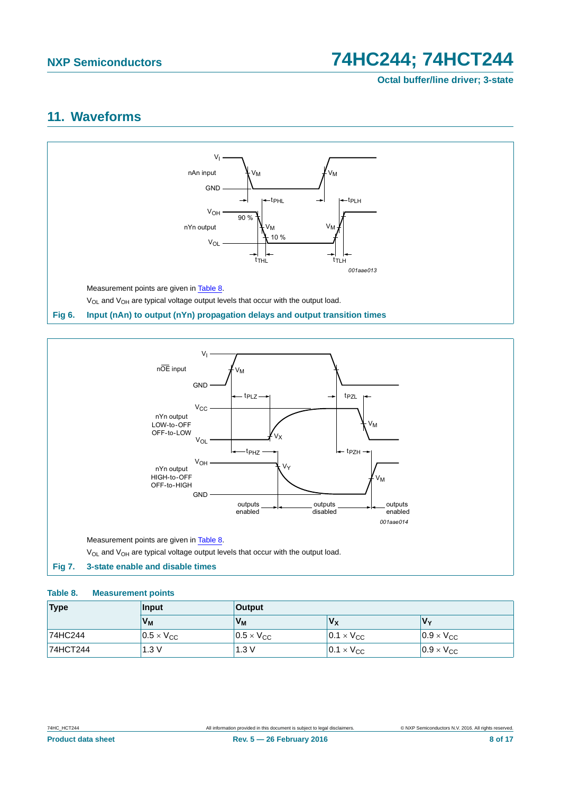**Octal buffer/line driver; 3-state**

## <span id="page-7-3"></span>**11. Waveforms**



<span id="page-7-0"></span>

### <span id="page-7-2"></span><span id="page-7-1"></span>**Table 8. Measurement points**

| <b>Type</b>     | Input                 | Output              |                           |                     |  |  |  |
|-----------------|-----------------------|---------------------|---------------------------|---------------------|--|--|--|
|                 | V <sub>M</sub>        | V <sub>M</sub>      | $\mathsf{v}_{\mathsf{x}}$ | V٧                  |  |  |  |
| 74HC244         | $ 0.5 \times V_{CC} $ | $0.5 \times V_{CC}$ | $0.1 \times V_{CC}$       | $0.9 \times V_{CC}$ |  |  |  |
| <b>74HCT244</b> | 1.3V                  | 1.3V                | $0.1 \times V_{CC}$       | $0.9 \times V_{CC}$ |  |  |  |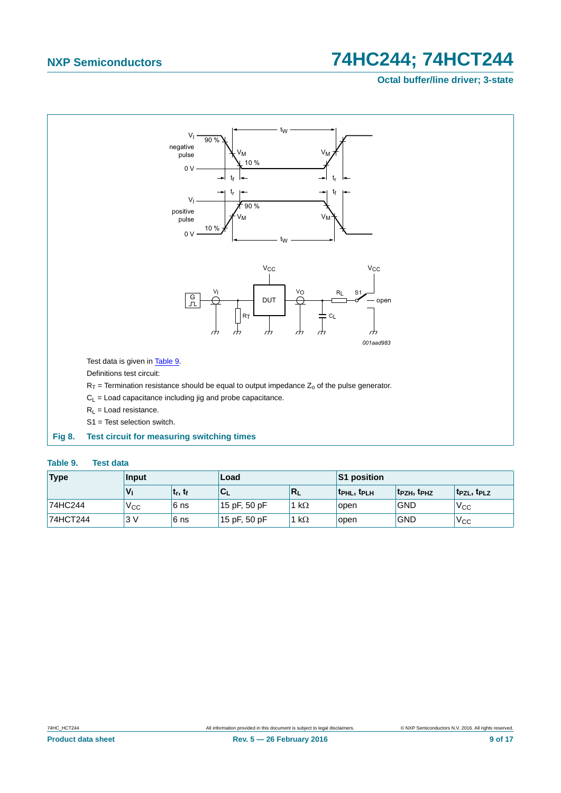## **Octal buffer/line driver; 3-state**



### <span id="page-8-1"></span><span id="page-8-0"></span>**Table 9. Test data**

| <b>Type</b> | Input           |              | Load            |              | S1 position       |             |                                     |
|-------------|-----------------|--------------|-----------------|--------------|-------------------|-------------|-------------------------------------|
|             | $V_{1}$         | $ t_r, t_f $ | 'C <sub>L</sub> | $R_L$        | <b>TPHL, TPLH</b> | 'tpzh, tphz | t <sub>PZL</sub> , t <sub>PLZ</sub> |
| 74HC244     | V <sub>CC</sub> | 6 ns         | 15 pF, 50 pF    | 1 k $\Omega$ | open              | <b>GND</b>  | V <sub>CC</sub>                     |
| 74HCT244    | 3V              | 6 ns         | 15 pF, 50 pF    | 1 k $\Omega$ | open              | <b>GND</b>  | 'V <sub>CC</sub>                    |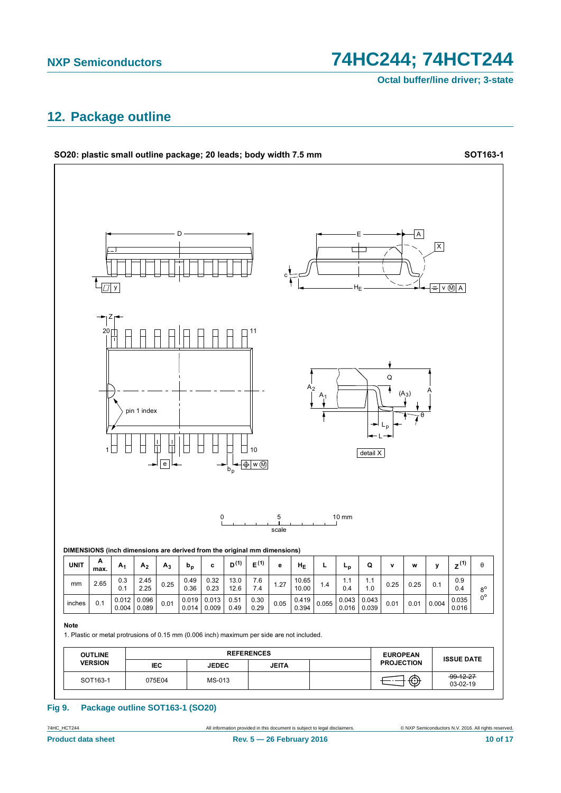74HC244; 74HCT244

Octal buffer/line driver; 3-state

# <span id="page-9-0"></span>12. Package outline



### Package outline SOT163-1 (SO20) **Fig 9.**

74HC\_HCT244 **Product data sheet**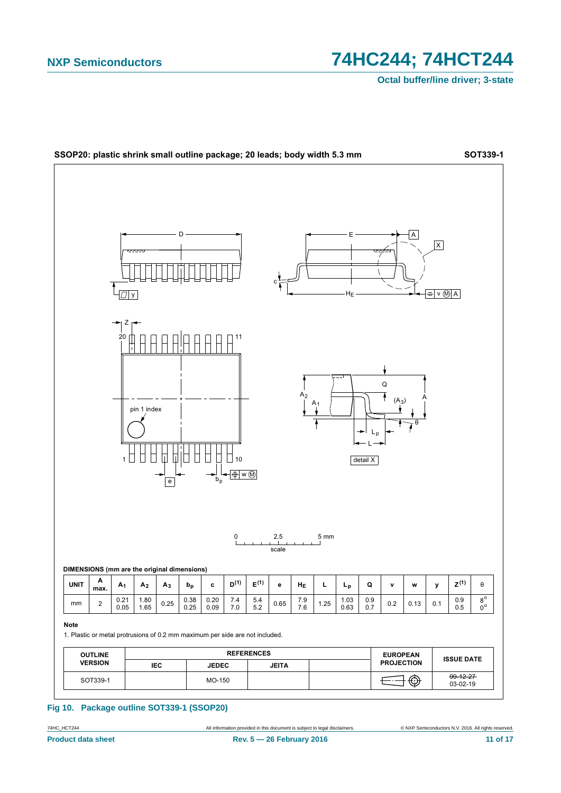

Fig 10. Package outline SOT339-1 (SSOP20)

74HC\_HCT244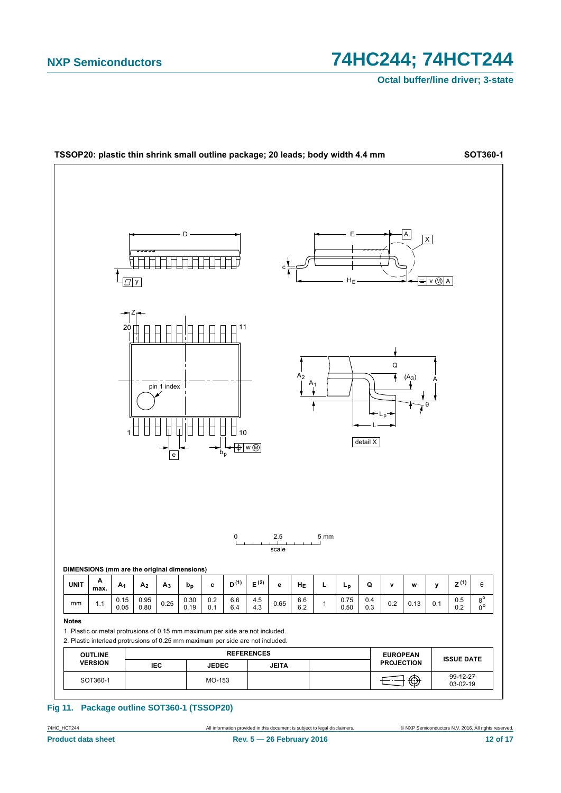

### Fig 11. Package outline SOT360-1 (TSSOP20)

All information provided in this document is subject to legal disclaimers.

74HC\_HCT244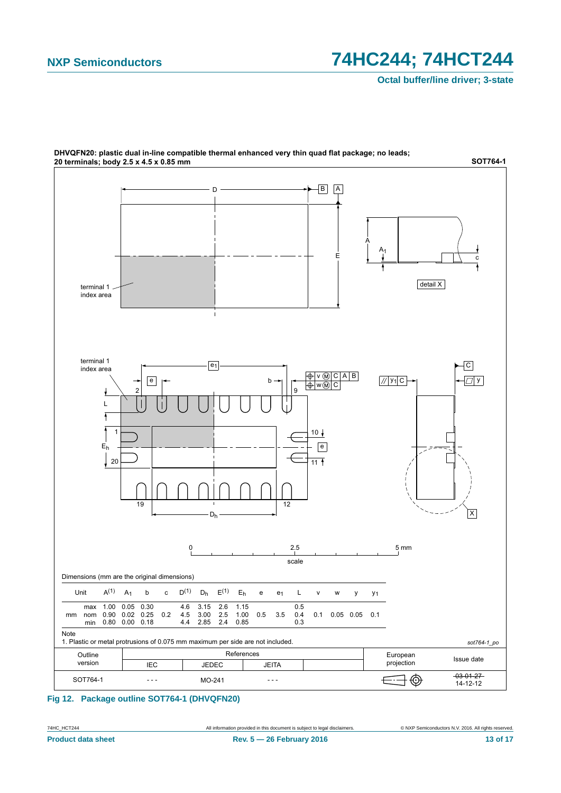

DHVQFN20: plastic dual in-line compatible thermal enhanced very thin quad flat package; no leads;

**Fig 12. Package outline SOT764-1 (DHVQFN20)**

74HC\_HCT244 All information provided in this document is subject to legal disclaimers. © NXP Semiconductors N.V. 2016. All rights reserved.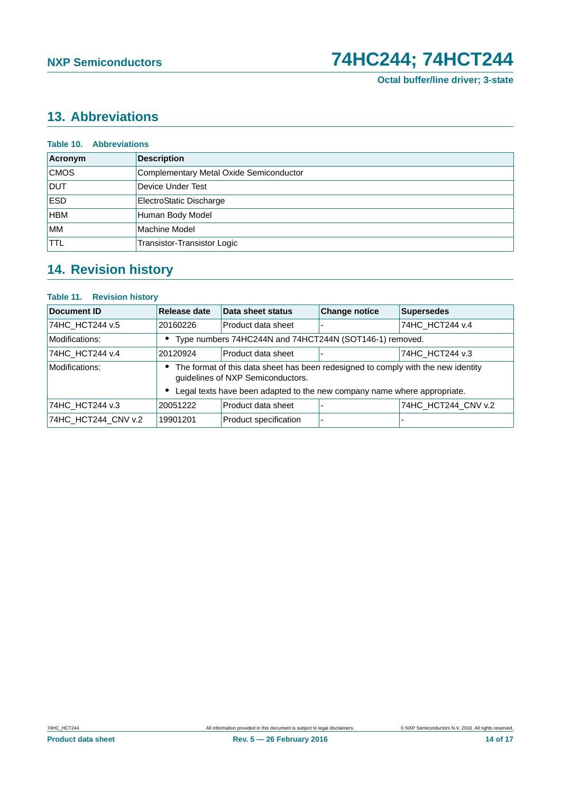# <span id="page-13-0"></span>**13. Abbreviations**

| <b>Table 10. Abbreviations</b> |                                         |  |
|--------------------------------|-----------------------------------------|--|
| Acronym                        | <b>Description</b>                      |  |
| <b>CMOS</b>                    | Complementary Metal Oxide Semiconductor |  |
| <b>DUT</b>                     | Device Under Test                       |  |
| <b>ESD</b>                     | ElectroStatic Discharge                 |  |
| <b>HBM</b>                     | Human Body Model                        |  |
| <b>MM</b>                      | Machine Model                           |  |
| <b>TTL</b>                     | Transistor-Transistor Logic             |  |

# <span id="page-13-1"></span>**14. Revision history**

### **Table 11. Revision history**

| Document ID                     | <b>Release date</b>                                                                                                      | Data sheet status                                                        | <b>Change notice</b> | <b>Supersedes</b>   |  |
|---------------------------------|--------------------------------------------------------------------------------------------------------------------------|--------------------------------------------------------------------------|----------------------|---------------------|--|
| 74HC HCT244 v.5                 | 20160226                                                                                                                 | Product data sheet                                                       |                      | 74HC HCT244 v.4     |  |
| Modifications:                  | • Type numbers 74HC244N and 74HCT244N (SOT146-1) removed.                                                                |                                                                          |                      |                     |  |
| 74HC HCT244 v.4                 | 20120924                                                                                                                 | Product data sheet                                                       |                      | 74HC HCT244 v.3     |  |
| Modifications:                  | • The format of this data sheet has been redesigned to comply with the new identity<br>guidelines of NXP Semiconductors. |                                                                          |                      |                     |  |
|                                 |                                                                                                                          | Legal texts have been adapted to the new company name where appropriate. |                      |                     |  |
| 74HC HCT244 v.3                 | 20051222                                                                                                                 | Product data sheet                                                       |                      | 74HC HCT244 CNV v.2 |  |
| 74HC HCT244 CNV v.2<br>19901201 |                                                                                                                          | Product specification                                                    |                      |                     |  |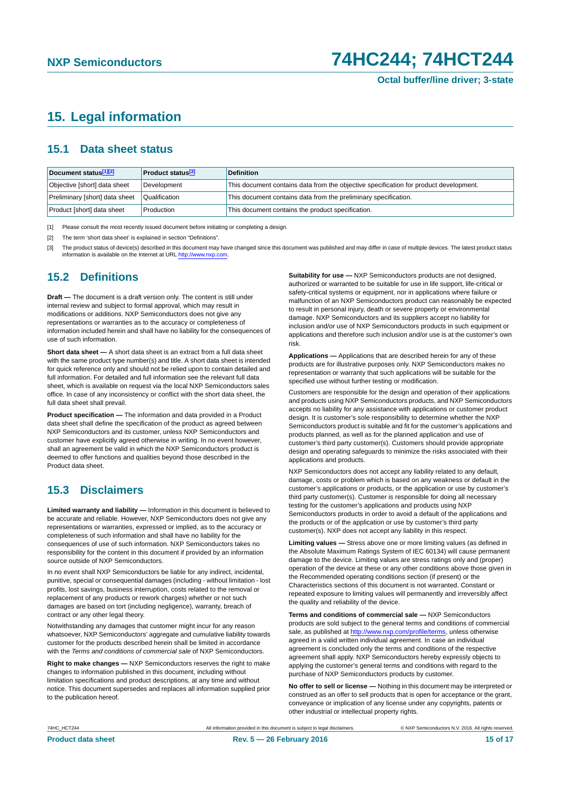# <span id="page-14-3"></span>**15. Legal information**

### <span id="page-14-4"></span>**15.1 Data sheet status**

| Document status[1][2]          | <b>Product status</b> <sup>[3]</sup> | <b>Definition</b>                                                                     |
|--------------------------------|--------------------------------------|---------------------------------------------------------------------------------------|
| Objective [short] data sheet   | Development                          | This document contains data from the objective specification for product development. |
| Preliminary [short] data sheet | Qualification                        | This document contains data from the preliminary specification.                       |
| Product [short] data sheet     | Production                           | This document contains the product specification.                                     |

<span id="page-14-0"></span>[1] Please consult the most recently issued document before initiating or completing a design.

<span id="page-14-1"></span>[2] The term 'short data sheet' is explained in section "Definitions".

<span id="page-14-2"></span>[3] The product status of device(s) described in this document may have changed since this document was published and may differ in case of multiple devices. The latest product status<br>information is available on the Intern

### <span id="page-14-5"></span>**15.2 Definitions**

**Draft —** The document is a draft version only. The content is still under internal review and subject to formal approval, which may result in modifications or additions. NXP Semiconductors does not give any representations or warranties as to the accuracy or completeness of information included herein and shall have no liability for the consequences of use of such information.

**Short data sheet —** A short data sheet is an extract from a full data sheet with the same product type number(s) and title. A short data sheet is intended for quick reference only and should not be relied upon to contain detailed and full information. For detailed and full information see the relevant full data sheet, which is available on request via the local NXP Semiconductors sales office. In case of any inconsistency or conflict with the short data sheet, the full data sheet shall prevail.

**Product specification —** The information and data provided in a Product data sheet shall define the specification of the product as agreed between NXP Semiconductors and its customer, unless NXP Semiconductors and customer have explicitly agreed otherwise in writing. In no event however, shall an agreement be valid in which the NXP Semiconductors product is deemed to offer functions and qualities beyond those described in the Product data sheet.

## <span id="page-14-6"></span>**15.3 Disclaimers**

**Limited warranty and liability —** Information in this document is believed to be accurate and reliable. However, NXP Semiconductors does not give any representations or warranties, expressed or implied, as to the accuracy or completeness of such information and shall have no liability for the consequences of use of such information. NXP Semiconductors takes no responsibility for the content in this document if provided by an information source outside of NXP Semiconductors.

In no event shall NXP Semiconductors be liable for any indirect, incidental, punitive, special or consequential damages (including - without limitation - lost profits, lost savings, business interruption, costs related to the removal or replacement of any products or rework charges) whether or not such damages are based on tort (including negligence), warranty, breach of contract or any other legal theory.

Notwithstanding any damages that customer might incur for any reason whatsoever, NXP Semiconductors' aggregate and cumulative liability towards customer for the products described herein shall be limited in accordance with the *Terms and conditions of commercial sale* of NXP Semiconductors.

**Right to make changes —** NXP Semiconductors reserves the right to make changes to information published in this document, including without limitation specifications and product descriptions, at any time and without notice. This document supersedes and replaces all information supplied prior to the publication hereof.

**Suitability for use —** NXP Semiconductors products are not designed, authorized or warranted to be suitable for use in life support, life-critical or safety-critical systems or equipment, nor in applications where failure or malfunction of an NXP Semiconductors product can reasonably be expected to result in personal injury, death or severe property or environmental damage. NXP Semiconductors and its suppliers accept no liability for inclusion and/or use of NXP Semiconductors products in such equipment or applications and therefore such inclusion and/or use is at the customer's own risk.

**Applications —** Applications that are described herein for any of these products are for illustrative purposes only. NXP Semiconductors makes no representation or warranty that such applications will be suitable for the specified use without further testing or modification.

Customers are responsible for the design and operation of their applications and products using NXP Semiconductors products, and NXP Semiconductors accepts no liability for any assistance with applications or customer product design. It is customer's sole responsibility to determine whether the NXP Semiconductors product is suitable and fit for the customer's applications and products planned, as well as for the planned application and use of customer's third party customer(s). Customers should provide appropriate design and operating safeguards to minimize the risks associated with their applications and products.

NXP Semiconductors does not accept any liability related to any default, damage, costs or problem which is based on any weakness or default in the customer's applications or products, or the application or use by customer's third party customer(s). Customer is responsible for doing all necessary testing for the customer's applications and products using NXP Semiconductors products in order to avoid a default of the applications and the products or of the application or use by customer's third party customer(s). NXP does not accept any liability in this respect.

**Limiting values —** Stress above one or more limiting values (as defined in the Absolute Maximum Ratings System of IEC 60134) will cause permanent damage to the device. Limiting values are stress ratings only and (proper) operation of the device at these or any other conditions above those given in the Recommended operating conditions section (if present) or the Characteristics sections of this document is not warranted. Constant or repeated exposure to limiting values will permanently and irreversibly affect the quality and reliability of the device.

**Terms and conditions of commercial sale —** NXP Semiconductors products are sold subject to the general terms and conditions of commercial sale, as published at<http://www.nxp.com/profile/terms>, unless otherwise agreed in a valid written individual agreement. In case an individual agreement is concluded only the terms and conditions of the respective agreement shall apply. NXP Semiconductors hereby expressly objects to applying the customer's general terms and conditions with regard to the purchase of NXP Semiconductors products by customer.

**No offer to sell or license —** Nothing in this document may be interpreted or construed as an offer to sell products that is open for acceptance or the grant, conveyance or implication of any license under any copyrights, patents or other industrial or intellectual property rights.

74HC\_HCT244 All information provided in this document is subject to legal disclaimers. © NXP Semiconductors N.V. 2016. All rights reserved.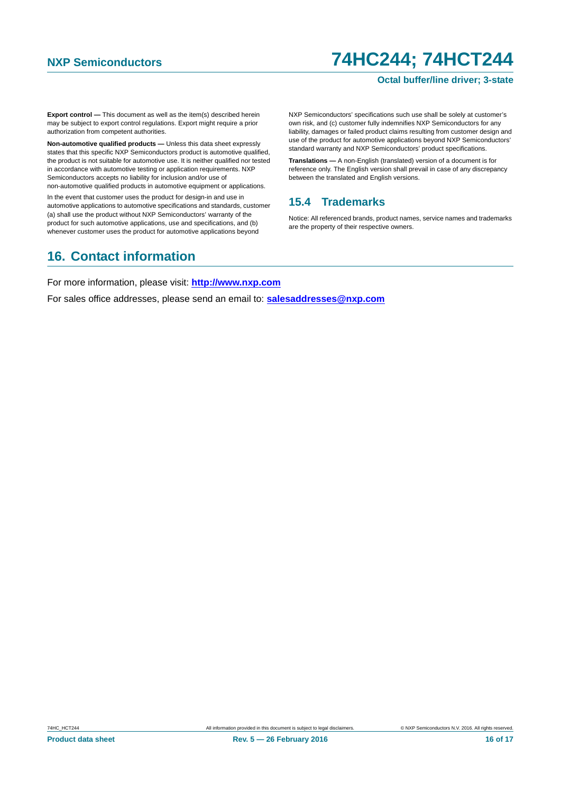### **Octal buffer/line driver; 3-state**

**Export control —** This document as well as the item(s) described herein may be subject to export control regulations. Export might require a prior authorization from competent authorities.

**Non-automotive qualified products —** Unless this data sheet expressly states that this specific NXP Semiconductors product is automotive qualified, the product is not suitable for automotive use. It is neither qualified nor tested in accordance with automotive testing or application requirements. NXP Semiconductors accepts no liability for inclusion and/or use of non-automotive qualified products in automotive equipment or applications.

In the event that customer uses the product for design-in and use in automotive applications to automotive specifications and standards, customer (a) shall use the product without NXP Semiconductors' warranty of the product for such automotive applications, use and specifications, and (b) whenever customer uses the product for automotive applications beyond

NXP Semiconductors' specifications such use shall be solely at customer's own risk, and (c) customer fully indemnifies NXP Semiconductors for any liability, damages or failed product claims resulting from customer design and use of the product for automotive applications beyond NXP Semiconductors' standard warranty and NXP Semiconductors' product specifications.

**Translations —** A non-English (translated) version of a document is for reference only. The English version shall prevail in case of any discrepancy between the translated and English versions.

### <span id="page-15-0"></span>**15.4 Trademarks**

Notice: All referenced brands, product names, service names and trademarks are the property of their respective owners.

# <span id="page-15-1"></span>**16. Contact information**

For more information, please visit: **http://www.nxp.com**

For sales office addresses, please send an email to: **salesaddresses@nxp.com**